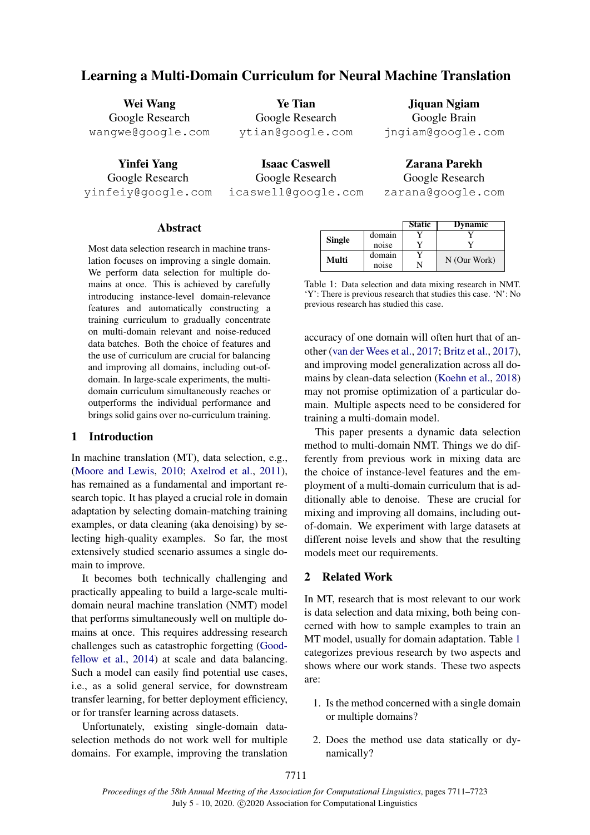# Learning a Multi-Domain Curriculum for Neural Machine Translation

Wei Wang Google Research wangwe@google.com

Yinfei Yang Google Research yinfeiy@google.com

Ye Tian Google Research ytian@google.com

Isaac Caswell Google Research icaswell@google.com

Jiquan Ngiam Google Brain jngiam@google.com

Zarana Parekh Google Research zarana@google.com

# Abstract

Most data selection research in machine translation focuses on improving a single domain. We perform data selection for multiple domains at once. This is achieved by carefully introducing instance-level domain-relevance features and automatically constructing a training curriculum to gradually concentrate on multi-domain relevant and noise-reduced data batches. Both the choice of features and the use of curriculum are crucial for balancing and improving all domains, including out-ofdomain. In large-scale experiments, the multidomain curriculum simultaneously reaches or outperforms the individual performance and brings solid gains over no-curriculum training.

## 1 Introduction

In machine translation (MT), data selection, e.g., [\(Moore and Lewis,](#page-10-0) [2010;](#page-10-0) [Axelrod et al.,](#page-9-0) [2011\)](#page-9-0), has remained as a fundamental and important research topic. It has played a crucial role in domain adaptation by selecting domain-matching training examples, or data cleaning (aka denoising) by selecting high-quality examples. So far, the most extensively studied scenario assumes a single domain to improve.

It becomes both technically challenging and practically appealing to build a large-scale multidomain neural machine translation (NMT) model that performs simultaneously well on multiple domains at once. This requires addressing research challenges such as catastrophic forgetting [\(Good](#page-9-1)[fellow et al.,](#page-9-1) [2014\)](#page-9-1) at scale and data balancing. Such a model can easily find potential use cases, i.e., as a solid general service, for downstream transfer learning, for better deployment efficiency, or for transfer learning across datasets.

Unfortunately, existing single-domain dataselection methods do not work well for multiple domains. For example, improving the translation

<span id="page-0-0"></span>

|        |        | <b>Static</b> | <b>Dynamic</b> |
|--------|--------|---------------|----------------|
|        | domain |               |                |
| Single | noise  |               |                |
| Multi  | domain |               | N (Our Work)   |
|        | noise  |               |                |

Table 1: Data selection and data mixing research in NMT. 'Y': There is previous research that studies this case. 'N': No previous research has studied this case.

accuracy of one domain will often hurt that of another [\(van der Wees et al.,](#page-11-0) [2017;](#page-11-0) [Britz et al.,](#page-9-2) [2017\)](#page-9-2), and improving model generalization across all domains by clean-data selection [\(Koehn et al.,](#page-10-1) [2018\)](#page-10-1) may not promise optimization of a particular domain. Multiple aspects need to be considered for training a multi-domain model.

This paper presents a dynamic data selection method to multi-domain NMT. Things we do differently from previous work in mixing data are the choice of instance-level features and the employment of a multi-domain curriculum that is additionally able to denoise. These are crucial for mixing and improving all domains, including outof-domain. We experiment with large datasets at different noise levels and show that the resulting models meet our requirements.

## 2 Related Work

In MT, research that is most relevant to our work is data selection and data mixing, both being concerned with how to sample examples to train an MT model, usually for domain adaptation. Table [1](#page-0-0) categorizes previous research by two aspects and shows where our work stands. These two aspects are:

- 1. Is the method concerned with a single domain or multiple domains?
- 2. Does the method use data statically or dynamically?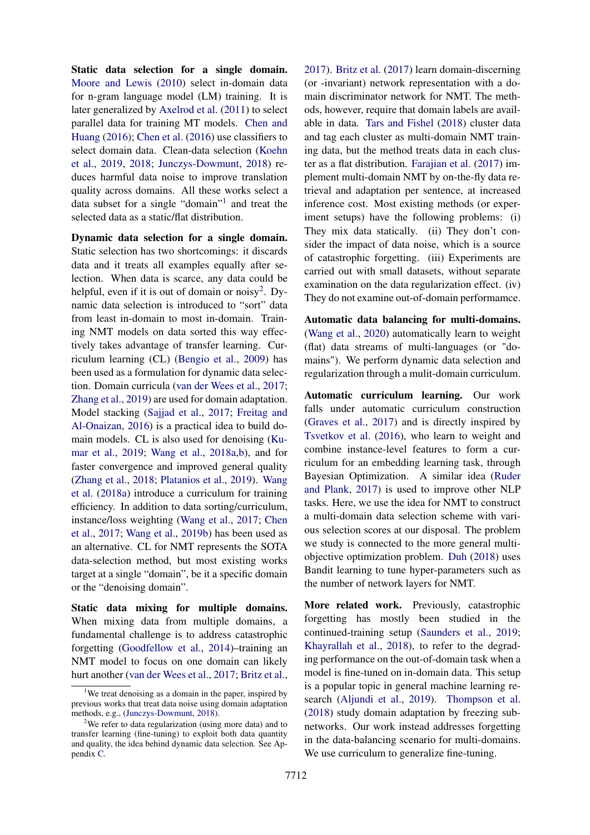Static data selection for a single domain. [Moore and Lewis](#page-10-0) [\(2010\)](#page-10-0) select in-domain data for n-gram language model (LM) training. It is later generalized by [Axelrod et al.](#page-9-0) [\(2011\)](#page-9-0) to select parallel data for training MT models. [Chen and](#page-9-3) [Huang](#page-9-3) [\(2016\)](#page-9-3); [Chen et al.](#page-9-4) [\(2016\)](#page-9-4) use classifiers to select domain data. Clean-data selection [\(Koehn](#page-9-5) [et al.,](#page-9-5) [2019,](#page-9-5) [2018;](#page-10-1) [Junczys-Dowmunt,](#page-9-6) [2018\)](#page-9-6) reduces harmful data noise to improve translation quality across domains. All these works select a data subset for a single "domain"<sup>[1](#page-1-0)</sup> and treat the selected data as a static/flat distribution.

Dynamic data selection for a single domain. Static selection has two shortcomings: it discards data and it treats all examples equally after selection. When data is scarce, any data could be helpful, even if it is out of domain or noisy<sup>[2](#page-1-1)</sup>. Dynamic data selection is introduced to "sort" data from least in-domain to most in-domain. Training NMT models on data sorted this way effectively takes advantage of transfer learning. Curriculum learning (CL) [\(Bengio et al.,](#page-9-7) [2009\)](#page-9-7) has been used as a formulation for dynamic data selection. Domain curricula [\(van der Wees et al.,](#page-11-0) [2017;](#page-11-0) [Zhang et al.,](#page-11-1) [2019\)](#page-11-1) are used for domain adaptation. Model stacking [\(Sajjad et al.,](#page-10-2) [2017;](#page-10-2) [Freitag and](#page-9-8) [Al-Onaizan,](#page-9-8) [2016\)](#page-9-8) is a practical idea to build domain models. CL is also used for denoising [\(Ku](#page-10-3)[mar et al.,](#page-10-3) [2019;](#page-10-3) [Wang et al.,](#page-10-4) [2018a](#page-10-4)[,b\)](#page-11-2), and for faster convergence and improved general quality [\(Zhang et al.,](#page-11-3) [2018;](#page-11-3) [Platanios et al.,](#page-10-5) [2019\)](#page-10-5). [Wang](#page-10-4) [et al.](#page-10-4) [\(2018a\)](#page-10-4) introduce a curriculum for training efficiency. In addition to data sorting/curriculum, instance/loss weighting [\(Wang et al.,](#page-10-6) [2017;](#page-10-6) [Chen](#page-9-9) [et al.,](#page-9-9) [2017;](#page-9-9) [Wang et al.,](#page-11-4) [2019b\)](#page-11-4) has been used as an alternative. CL for NMT represents the SOTA data-selection method, but most existing works target at a single "domain", be it a specific domain or the "denoising domain".

Static data mixing for multiple domains. When mixing data from multiple domains, a fundamental challenge is to address catastrophic forgetting [\(Goodfellow et al.,](#page-9-1) [2014\)](#page-9-1)–training an NMT model to focus on one domain can likely hurt another [\(van der Wees et al.,](#page-11-0) [2017;](#page-11-0) [Britz et al.,](#page-9-2)

[2017\)](#page-9-2). [Britz et al.](#page-9-2) [\(2017\)](#page-9-2) learn domain-discerning (or -invariant) network representation with a domain discriminator network for NMT. The methods, however, require that domain labels are available in data. [Tars and Fishel](#page-10-7) [\(2018\)](#page-10-7) cluster data and tag each cluster as multi-domain NMT training data, but the method treats data in each cluster as a flat distribution. [Farajian et al.](#page-9-10) [\(2017\)](#page-9-10) implement multi-domain NMT by on-the-fly data retrieval and adaptation per sentence, at increased inference cost. Most existing methods (or experiment setups) have the following problems: (i) They mix data statically. (ii) They don't consider the impact of data noise, which is a source of catastrophic forgetting. (iii) Experiments are carried out with small datasets, without separate examination on the data regularization effect. (iv) They do not examine out-of-domain performamce.

Automatic data balancing for multi-domains. [\(Wang et al.,](#page-11-6) [2020\)](#page-11-6) automatically learn to weight (flat) data streams of multi-languages (or "domains"). We perform dynamic data selection and regularization through a mulit-domain curriculum.

Automatic curriculum learning. Our work falls under automatic curriculum construction [\(Graves et al.,](#page-9-11) [2017\)](#page-9-11) and is directly inspired by [Tsvetkov et al.](#page-10-8) [\(2016\)](#page-10-8), who learn to weight and combine instance-level features to form a curriculum for an embedding learning task, through Bayesian Optimization. A similar idea [\(Ruder](#page-10-9) [and Plank,](#page-10-9) [2017\)](#page-10-9) is used to improve other NLP tasks. Here, we use the idea for NMT to construct a multi-domain data selection scheme with various selection scores at our disposal. The problem we study is connected to the more general multiobjective optimization problem. [Duh](#page-9-12) [\(2018\)](#page-9-12) uses Bandit learning to tune hyper-parameters such as the number of network layers for NMT.

More related work. Previously, catastrophic forgetting has mostly been studied in the continued-training setup [\(Saunders et al.,](#page-10-10) [2019;](#page-10-10) [Khayrallah et al.,](#page-9-13) [2018\)](#page-9-13), to refer to the degrading performance on the out-of-domain task when a model is fine-tuned on in-domain data. This setup is a popular topic in general machine learning research [\(Aljundi et al.,](#page-9-14) [2019\)](#page-9-14). [Thompson et al.](#page-10-11) [\(2018\)](#page-10-11) study domain adaptation by freezing subnetworks. Our work instead addresses forgetting in the data-balancing scenario for multi-domains. We use curriculum to generalize fine-tuning.

<span id="page-1-0"></span><sup>&</sup>lt;sup>1</sup>We treat denoising as a domain in the paper, inspired by previous works that treat data noise using domain adaptation methods, e.g., [\(Junczys-Dowmunt,](#page-9-6) [2018\)](#page-9-6).

<span id="page-1-1"></span><sup>2</sup>We refer to data regularization (using more data) and to transfer learning (fine-tuning) to exploit both data quantity and quality, the idea behind dynamic data selection. See Appendix [C.](#page-11-5)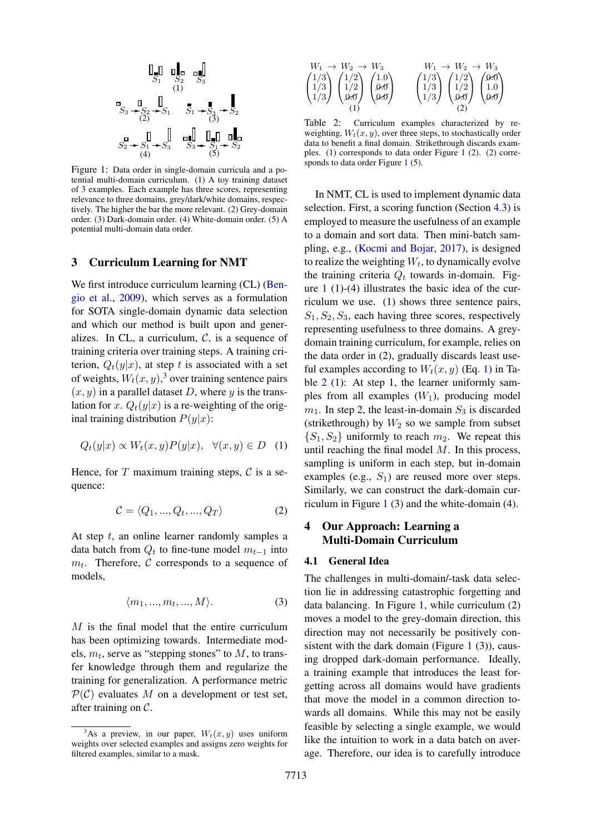<span id="page-2-1"></span>

Figure 1: Data order in single-domain curricula and a potential multi-domain curriculum. (1) A toy training dataset of 3 examples. Each example has three scores, representing relevance to three domains, grey/dark/white domains, respectively. The higher the bar the more relevant. (2) Grey-domain order. (3) Dark-domain order. (4) White-domain order. (5) A potential multi-domain data order.

## 3 Curriculum Learning for NMT

We first introduce curriculum learning (CL) [\(Ben](#page-9-7)[gio et al.,](#page-9-7) [2009\)](#page-9-7), which serves as a formulation for SOTA single-domain dynamic data selection and which our method is built upon and generalizes. In CL, a curriculum,  $C$ , is a sequence of training criteria over training steps. A training criterion,  $Q_t(y|x)$ , at step t is associated with a set of weights,  $W_t(x, y)$ , [3](#page-2-0) over training sentence pairs  $(x, y)$  in a parallel dataset D, where y is the translation for x.  $Q_t(y|x)$  is a re-weighting of the original training distribution  $P(y|x)$ :

<span id="page-2-2"></span>
$$
Q_t(y|x) \propto W_t(x, y)P(y|x), \quad \forall (x, y) \in D \quad (1)
$$

Hence, for  $T$  maximum training steps,  $\mathcal C$  is a sequence:

$$
\mathcal{C} = \langle Q_1, ..., Q_t, ..., Q_T \rangle \tag{2}
$$

At step  $t$ , an online learner randomly samples a data batch from  $Q_t$  to fine-tune model  $m_{t-1}$  into  $m_t$ . Therefore, C corresponds to a sequence of models,

$$
\langle m_1, ..., m_t, ..., M \rangle.
$$
 (3)

M is the final model that the entire curriculum has been optimizing towards. Intermediate models,  $m_t$ , serve as "stepping stones" to  $M$ , to transfer knowledge through them and regularize the training for generalization. A performance metric  $\mathcal{P}(\mathcal{C})$  evaluates M on a development or test set, after training on C.

<span id="page-2-3"></span>
$$
\begin{pmatrix}\nW_1 \to W_2 \to W_3 \\
1/3 \\
1/3\n\end{pmatrix}\n\begin{pmatrix}\n1/2 \\
1/2 \\
0 & \theta\n\end{pmatrix}\n\begin{pmatrix}\n1.0 \\
0.6 \\
0.6\n\end{pmatrix}\n\qquad\n\begin{pmatrix}\n1/3 \\
1/3 \\
1/3\n\end{pmatrix}\n\begin{pmatrix}\n1/2 \\
1/2 \\
0 & \theta\n\end{pmatrix}\n\begin{pmatrix}\n9.6 \\
1.0 \\
0.6\n\end{pmatrix}
$$
\n(1)\n(2)

Table 2: Curriculum examples characterized by reweighting,  $W_t(x, y)$ , over three steps, to stochastically order data to benefit a final domain. Strikethrough discards examples. (1) corresponds to data order Figure [1](#page-2-1) (2). (2) corresponds to data order Figure [1](#page-2-1) (5).

In NMT, CL is used to implement dynamic data selection. First, a scoring function (Section [4.3\)](#page-3-0) is employed to measure the usefulness of an example to a domain and sort data. Then mini-batch sampling, e.g., [\(Kocmi and Bojar,](#page-9-15) [2017\)](#page-9-15), is designed to realize the weighting  $W_t$ , to dynamically evolve the training criteria  $Q_t$  towards in-domain. Figure [1](#page-2-1) (1)-(4) illustrates the basic idea of the curriculum we use. (1) shows three sentence pairs,  $S_1, S_2, S_3$ , each having three scores, respectively representing usefulness to three domains. A greydomain training curriculum, for example, relies on the data order in (2), gradually discards least useful examples according to  $W_t(x, y)$  (Eq. [1\)](#page-2-2) in Ta-ble [2](#page-2-3) (1): At step 1, the learner uniformly samples from all examples  $(W_1)$ , producing model  $m_1$ . In step 2, the least-in-domain  $S_3$  is discarded (strikethrough) by  $W_2$  so we sample from subset  $\{S_1, S_2\}$  uniformly to reach  $m_2$ . We repeat this until reaching the final model  $M$ . In this process, sampling is uniform in each step, but in-domain examples (e.g.,  $S_1$ ) are reused more over steps. Similarly, we can construct the dark-domain curriculum in Figure [1](#page-2-1) (3) and the white-domain (4).

# 4 Our Approach: Learning a Multi-Domain Curriculum

#### <span id="page-2-4"></span>4.1 General Idea

The challenges in multi-domain/-task data selection lie in addressing catastrophic forgetting and data balancing. In Figure [1,](#page-2-1) while curriculum (2) moves a model to the grey-domain direction, this direction may not necessarily be positively consistent with the dark domain (Figure  $1$  (3)), causing dropped dark-domain performance. Ideally, a training example that introduces the least forgetting across all domains would have gradients that move the model in a common direction towards all domains. While this may not be easily feasible by selecting a single example, we would like the intuition to work in a data batch on average. Therefore, our idea is to carefully introduce

<span id="page-2-0"></span><sup>&</sup>lt;sup>3</sup>As a preview, in our paper,  $W_t(x, y)$  uses uniform weights over selected examples and assigns zero weights for filtered examples, similar to a mask.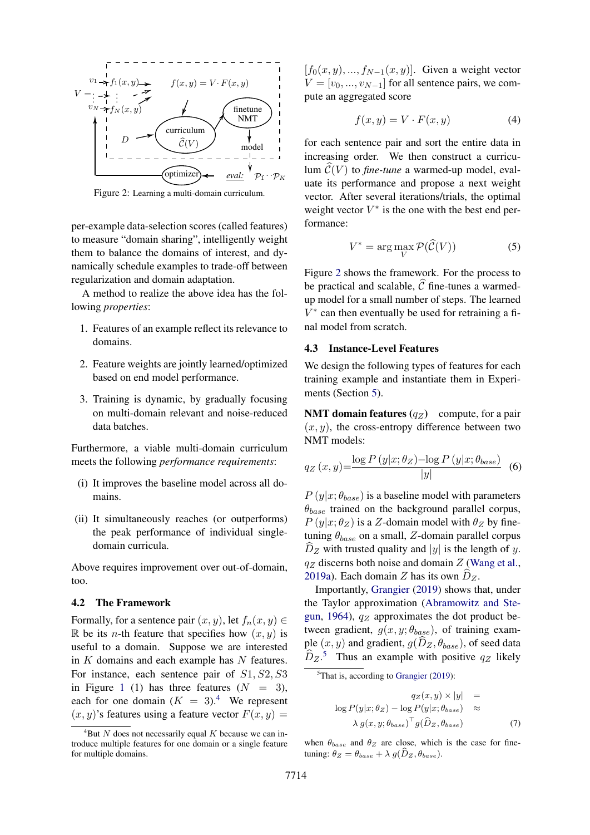<span id="page-3-2"></span>

Figure 2: Learning a multi-domain curriculum.

per-example data-selection scores (called features) to measure "domain sharing", intelligently weight them to balance the domains of interest, and dynamically schedule examples to trade-off between regularization and domain adaptation.

A method to realize the above idea has the following *properties*:

- 1. Features of an example reflect its relevance to domains.
- 2. Feature weights are jointly learned/optimized based on end model performance.
- 3. Training is dynamic, by gradually focusing on multi-domain relevant and noise-reduced data batches.

Furthermore, a viable multi-domain curriculum meets the following *performance requirements*:

- (i) It improves the baseline model across all domains.
- (ii) It simultaneously reaches (or outperforms) the peak performance of individual singledomain curricula.

Above requires improvement over out-of-domain, too.

## 4.2 The Framework

Formally, for a sentence pair  $(x, y)$ , let  $f_n(x, y) \in$ R be its *n*-th feature that specifies how  $(x, y)$  is useful to a domain. Suppose we are interested in  $K$  domains and each example has  $N$  features. For instance, each sentence pair of  $S1, S2, S3$ in Figure [1](#page-2-1) (1) has three features  $(N = 3)$ , each for one domain  $(K = 3)$ .<sup>[4](#page-3-1)</sup> We represent  $(x, y)$ 's features using a feature vector  $F(x, y) =$ 

 $[f_0(x, y), ..., f_{N-1}(x, y)]$ . Given a weight vector  $V = [v_0, ..., v_{N-1}]$  for all sentence pairs, we compute an aggregated score

<span id="page-3-5"></span>
$$
f(x,y) = V \cdot F(x,y) \tag{4}
$$

for each sentence pair and sort the entire data in increasing order. We then construct a curriculum  $\mathcal{C}(V)$  to *fine-tune* a warmed-up model, evaluate its performance and propose a next weight vector. After several iterations/trials, the optimal weight vector  $V^*$  is the one with the best end performance:

<span id="page-3-4"></span>
$$
V^* = \arg\max_{V} \mathcal{P}(\widehat{\mathcal{C}}(V))
$$
 (5)

Figure [2](#page-3-2) shows the framework. For the process to be practical and scalable,  $\widehat{C}$  fine-tunes a warmedup model for a small number of steps. The learned  $V^*$  can then eventually be used for retraining a final model from scratch.

## <span id="page-3-0"></span>4.3 Instance-Level Features

We design the following types of features for each training example and instantiate them in Experi-ments (Section [5\)](#page-5-0).

**NMT domain features**  $(q_Z)$  compute, for a pair  $(x, y)$ , the cross-entropy difference between two NMT models:

<span id="page-3-6"></span>
$$
q_Z(x,y) = \frac{\log P(y|x; \theta_Z) - \log P(y|x; \theta_{base})}{|y|} \quad (6)
$$

 $P(y|x; \theta_{base})$  is a baseline model with parameters  $\theta_{base}$  trained on the background parallel corpus,  $P(y|x; \theta_Z)$  is a Z-domain model with  $\theta_Z$  by finetuning  $\theta_{base}$  on a small, Z-domain parallel corpus  $\hat{D}_Z$  with trusted quality and |y| is the length of y.  $q_Z$  discerns both noise and domain  $Z$  [\(Wang et al.,](#page-10-12) [2019a\)](#page-10-12). Each domain Z has its own  $D_z$ .

Importantly, [Grangier](#page-9-16) [\(2019\)](#page-9-16) shows that, under the Taylor approximation [\(Abramowitz and Ste](#page-9-17)[gun,](#page-9-17) [1964\)](#page-9-17),  $q_Z$  approximates the dot product between gradient,  $g(x, y; \theta_{base})$ , of training example  $(x, y)$  and gradient,  $g(D_z, \theta_{base})$ , of seed data  $\widehat{D}_Z$ <sup>[5](#page-3-3)</sup> Thus an example with positive  $q_Z$  likely

<span id="page-3-7"></span>
$$
q_Z(x, y) \times |y| =
$$
  
\n
$$
\log P(y|x; \theta_Z) - \log P(y|x; \theta_{base}) \approx
$$
  
\n
$$
\lambda g(x, y; \theta_{base})^\top g(\hat{D}_Z, \theta_{base})
$$
 (7)

when  $\theta_{base}$  and  $\theta_Z$  are close, which is the case for finetuning:  $\theta_Z = \theta_{base} + \lambda g(\hat{D}_Z, \theta_{base}).$ 

<span id="page-3-1"></span> ${}^{4}$ But N does not necessarily equal K because we can introduce multiple features for one domain or a single feature for multiple domains.

<span id="page-3-3"></span> ${}^{5}$ That is, according to [Grangier](#page-9-16) [\(2019\)](#page-9-16):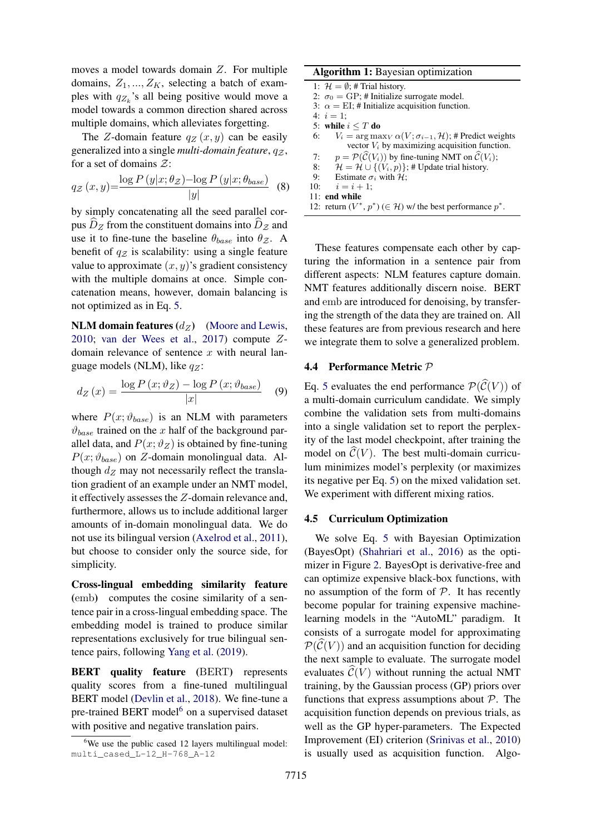moves a model towards domain Z. For multiple domains,  $Z_1, ..., Z_K$ , selecting a batch of examples with  $q_{Z_k}$ 's all being positive would move a model towards a common direction shared across multiple domains, which alleviates forgetting.

The Z-domain feature  $q_Z(x, y)$  can be easily generalized into a single *multi-domain feature*,  $q_{\mathcal{Z}}$ , for a set of domains  $\mathcal{Z}$ :

<span id="page-4-5"></span>
$$
q_{\mathcal{Z}}(x,y) = \frac{\log P(y|x; \theta_{\mathcal{Z}}) - \log P(y|x; \theta_{base})}{|y|}
$$
 (8)

by simply concatenating all the seed parallel corpus  $D_z$  from the constituent domains into  $D_z$  and use it to fine-tune the baseline  $\theta_{base}$  into  $\theta_{Z}$ . A benefit of  $q_z$  is scalability: using a single feature value to approximate  $(x, y)$ 's gradient consistency with the multiple domains at once. Simple concatenation means, however, domain balancing is not optimized as in Eq. [5.](#page-3-4)

NLM domain features  $(d_Z)$  [\(Moore and Lewis,](#page-10-0) [2010;](#page-10-0) [van der Wees et al.,](#page-11-0) [2017\)](#page-11-0) compute Zdomain relevance of sentence  $x$  with neural language models (NLM), like  $q_Z$ :

<span id="page-4-3"></span>
$$
d_Z(x) = \frac{\log P(x; \vartheta_Z) - \log P(x; \vartheta_{base})}{|x|} \quad (9)
$$

where  $P(x; \vartheta_{base})$  is an NLM with parameters  $\vartheta_{base}$  trained on the x half of the background parallel data, and  $P(x; \vartheta_Z)$  is obtained by fine-tuning  $P(x; \vartheta_{base})$  on Z-domain monolingual data. Although  $d_Z$  may not necessarily reflect the translation gradient of an example under an NMT model, it effectively assesses the Z-domain relevance and, furthermore, allows us to include additional larger amounts of in-domain monolingual data. We do not use its bilingual version [\(Axelrod et al.,](#page-9-0) [2011\)](#page-9-0), but choose to consider only the source side, for simplicity.

Cross-lingual embedding similarity feature (emb) computes the cosine similarity of a sentence pair in a cross-lingual embedding space. The embedding model is trained to produce similar representations exclusively for true bilingual sentence pairs, following [Yang et al.](#page-11-7) [\(2019\)](#page-11-7).

BERT quality feature (BERT) represents quality scores from a fine-tuned multilingual BERT model [\(Devlin et al.,](#page-9-18) [2018\)](#page-9-18). We fine-tune a pre-trained BERT model<sup>[6](#page-4-0)</sup> on a supervised dataset with positive and negative translation pairs.

## Algorithm 1: Bayesian optimization

|    | 1: $\mathcal{H} = \emptyset$ : # Trial history.                                  |
|----|----------------------------------------------------------------------------------|
|    | 2: $\sigma_0 = GP$ ; # Initialize surrogate model.                               |
|    | 3: $\alpha = EI$ ; # Initialize acquisition function.                            |
|    | 4: $i = 1$ :                                                                     |
|    | 5: while $i \leq T$ do                                                           |
|    | 6: $V_i = \arg \max_{V} \alpha(V; \sigma_{i-1}, \mathcal{H});$ # Predict weights |
|    | vector $V_i$ by maximizing acquisition function.                                 |
| 7: | $p = \mathcal{P}(\widehat{C}(V_i))$ by fine-tuning NMT on $\widehat{C}(V_i)$ ;   |
|    | 8: $\mathcal{H} = \mathcal{H} \cup \{(V_i, p)\};$ # Update trial history.        |
|    | 9: Estimate $\sigma_i$ with H;                                                   |
|    | 10: $i = i + 1$ :                                                                |
|    | 11: end while                                                                    |
|    | 12: return $(V^*, p^*)$ ( $\in \mathcal{H}$ ) w/ the best performance $p^*$ .    |

<span id="page-4-1"></span>These features compensate each other by capturing the information in a sentence pair from different aspects: NLM features capture domain. NMT features additionally discern noise. BERT and emb are introduced for denoising, by transfering the strength of the data they are trained on. All these features are from previous research and here we integrate them to solve a generalized problem.

#### <span id="page-4-4"></span>4.4 Performance Metric P

Eq. [5](#page-3-4) evaluates the end performance  $\mathcal{P}(\widehat{C}(V))$  of a multi-domain curriculum candidate. We simply combine the validation sets from multi-domains into a single validation set to report the perplexity of the last model checkpoint, after training the model on  $\widehat{\mathcal{C}}(V)$ . The best multi-domain curriculum minimizes model's perplexity (or maximizes its negative per Eq. [5\)](#page-3-4) on the mixed validation set. We experiment with different mixing ratios.

#### <span id="page-4-2"></span>4.5 Curriculum Optimization

We solve Eq. [5](#page-3-4) with Bayesian Optimization (BayesOpt) [\(Shahriari et al.,](#page-10-13) [2016\)](#page-10-13) as the optimizer in Figure [2.](#page-3-2) BayesOpt is derivative-free and can optimize expensive black-box functions, with no assumption of the form of  $P$ . It has recently become popular for training expensive machinelearning models in the "AutoML" paradigm. It consists of a surrogate model for approximating  $\mathcal{P}(\mathcal{C}(V))$  and an acquisition function for deciding the next sample to evaluate. The surrogate model evaluates  $\mathcal{C}(V)$  without running the actual NMT training, by the Gaussian process (GP) priors over functions that express assumptions about  $P$ . The acquisition function depends on previous trials, as well as the GP hyper-parameters. The Expected Improvement (EI) criterion [\(Srinivas et al.,](#page-10-14) [2010\)](#page-10-14) is usually used as acquisition function. Algo-

<span id="page-4-0"></span><sup>&</sup>lt;sup>6</sup>We use the public cased 12 layers multilingual model: multi\_cased\_L-12\_H-768\_A-12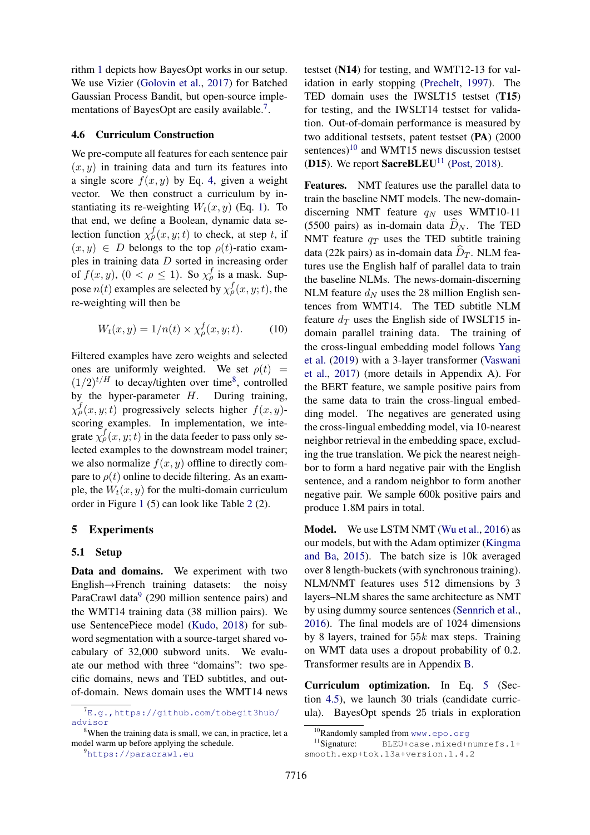rithm [1](#page-4-1) depicts how BayesOpt works in our setup. We use Vizier [\(Golovin et al.,](#page-9-19) [2017\)](#page-9-19) for Batched Gaussian Process Bandit, but open-source imple-mentations of BayesOpt are easily available.<sup>[7](#page-5-1)</sup>.

#### 4.6 Curriculum Construction

We pre-compute all features for each sentence pair  $(x, y)$  in training data and turn its features into a single score  $f(x, y)$  by Eq. [4,](#page-3-5) given a weight vector. We then construct a curriculum by instantiating its re-weighting  $W_t(x, y)$  (Eq. [1\)](#page-2-2). To that end, we define a Boolean, dynamic data selection function  $\chi_{\rho}^{f}(x, y; t)$  to check, at step t, if  $(x, y) \in D$  belongs to the top  $\rho(t)$ -ratio examples in training data D sorted in increasing order of  $f(x, y)$ ,  $(0 < \rho \le 1)$ . So  $\chi^f_\rho$  is a mask. Suppose  $n(t)$  examples are selected by  $\chi^f_\rho(x,y;t)$ , the re-weighting will then be

$$
W_t(x, y) = 1/n(t) \times \chi^f_\rho(x, y; t). \tag{10}
$$

Filtered examples have zero weights and selected ones are uniformly weighted. We set  $\rho(t)$  =  $(1/2)^{t/H}$  to decay/tighten over time<sup>[8](#page-5-2)</sup>, controlled by the hyper-parameter  $H$ . During training,  $\chi_p^f(x, y; t)$  progressively selects higher  $f(x, y)$ scoring examples. In implementation, we integrate  $\chi^f_{\rho}(x, y; t)$  in the data feeder to pass only selected examples to the downstream model trainer; we also normalize  $f(x, y)$  offline to directly compare to  $\rho(t)$  online to decide filtering. As an example, the  $W_t(x, y)$  for the multi-domain curriculum order in Figure [1](#page-2-1) (5) can look like Table [2](#page-2-3) (2).

#### <span id="page-5-0"></span>5 Experiments

#### <span id="page-5-6"></span>5.1 Setup

Data and domains. We experiment with two English→French training datasets: the noisy ParaCrawl data<sup>[9](#page-5-3)</sup> (290 million sentence pairs) and the WMT14 training data (38 million pairs). We use SentencePiece model [\(Kudo,](#page-10-15) [2018\)](#page-10-15) for subword segmentation with a source-target shared vocabulary of 32,000 subword units. We evaluate our method with three "domains": two specific domains, news and TED subtitles, and outof-domain. News domain uses the WMT14 news testset (N14) for testing, and WMT12-13 for val-idation in early stopping [\(Prechelt,](#page-10-16) [1997\)](#page-10-16). The TED domain uses the IWSLT15 testset (T15) for testing, and the IWSLT14 testset for validation. Out-of-domain performance is measured by two additional testsets, patent testset (PA) (2000 sentences)<sup>[10](#page-5-4)</sup> and WMT15 news discussion testset (D15). We report SacreBLEU<sup>[11](#page-5-5)</sup> [\(Post,](#page-10-17) [2018\)](#page-10-17).

Features. NMT features use the parallel data to train the baseline NMT models. The new-domaindiscerning NMT feature  $q_N$  uses WMT10-11 (5500 pairs) as in-domain data  $\hat{D}_N$ . The TED NMT feature  $q_T$  uses the TED subtitle training data (22k pairs) as in-domain data  $D_T$ . NLM features use the English half of parallel data to train the baseline NLMs. The news-domain-discerning NLM feature  $d_N$  uses the 28 million English sentences from WMT14. The TED subtitle NLM feature  $d_T$  uses the English side of IWSLT15 indomain parallel training data. The training of the cross-lingual embedding model follows [Yang](#page-11-7) [et al.](#page-11-7) [\(2019\)](#page-11-7) with a 3-layer transformer [\(Vaswani](#page-10-18) [et al.,](#page-10-18) [2017\)](#page-10-18) (more details in Appendix A). For the BERT feature, we sample positive pairs from the same data to train the cross-lingual embedding model. The negatives are generated using the cross-lingual embedding model, via 10-nearest neighbor retrieval in the embedding space, excluding the true translation. We pick the nearest neighbor to form a hard negative pair with the English sentence, and a random neighbor to form another negative pair. We sample 600k positive pairs and produce 1.8M pairs in total.

Model. We use LSTM NMT [\(Wu et al.,](#page-11-8) [2016\)](#page-11-8) as our models, but with the Adam optimizer [\(Kingma](#page-9-20) [and Ba,](#page-9-20) [2015\)](#page-9-20). The batch size is 10k averaged over 8 length-buckets (with synchronous training). NLM/NMT features uses 512 dimensions by 3 layers–NLM shares the same architecture as NMT by using dummy source sentences [\(Sennrich et al.,](#page-10-19) [2016\)](#page-10-19). The final models are of 1024 dimensions by 8 layers, trained for 55k max steps. Training on WMT data uses a dropout probability of 0.2. Transformer results are in Appendix [B.](#page-11-9)

Curriculum optimization. In Eq. [5](#page-3-4) (Section [4.5\)](#page-4-2), we launch 30 trials (candidate curricula). BayesOpt spends 25 trials in exploration

<span id="page-5-1"></span> $7E.$ q.,https://qithub.com/tobegit3hub/ [advisor](E.g., https://github.com/tobegit3hub/advisor)

<span id="page-5-2"></span><sup>&</sup>lt;sup>8</sup>When the training data is small, we can, in practice, let a model warm up before applying the schedule.

<span id="page-5-3"></span><sup>9</sup><https://paracrawl.eu>

<span id="page-5-5"></span><span id="page-5-4"></span><sup>&</sup>lt;sup>10</sup>Randomly sampled from <www.epo.org><br><sup>11</sup>Signature: BLEU+case.mixed+r

BLEU+case.mixed+numrefs.1+ smooth.exp+tok.13a+version.1.4.2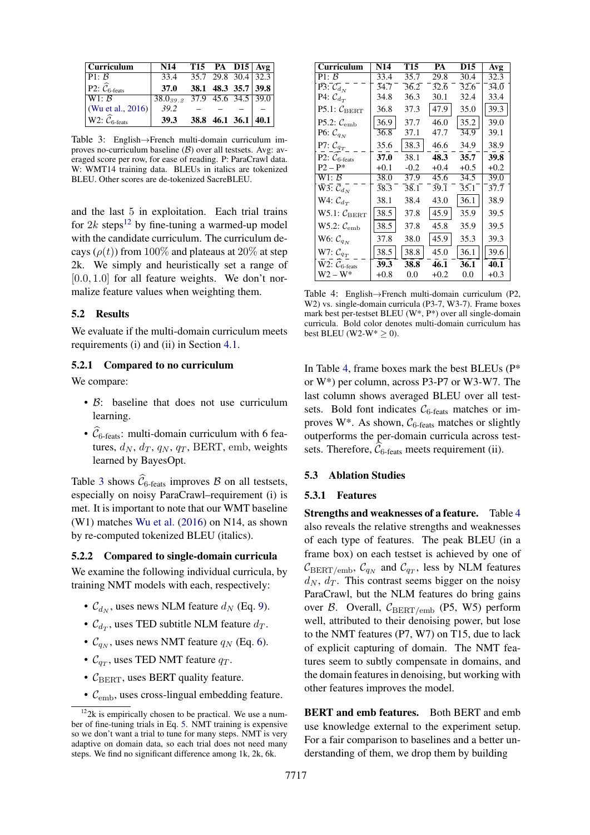<span id="page-6-1"></span>

| Curriculum                                     | N14                               | T15 PA D15 $Avg$ |                     |                       |
|------------------------------------------------|-----------------------------------|------------------|---------------------|-----------------------|
| P1: B                                          | 33.4                              |                  |                     | $35.7$ 29.8 30.4 32.3 |
| P2: $\widehat{\mathcal{C}}_{6\text{-feats}}$   | 37.0                              |                  | 38.1 48.3 35.7 39.8 |                       |
| W1: B                                          | $38.0_{39.2}$ 37.9 45.6 34.5 39.0 |                  |                     |                       |
| (Wu et al., 2016)                              | 39.2                              |                  |                     |                       |
| W2: $\widehat{\mathcal{C}}_{6\textrm{-feats}}$ | <b>39.3</b>                       |                  |                     | 38.8 46.1 36.1 40.1   |

Table 3: English→French multi-domain curriculum improves no-curriculum baseline  $(B)$  over all testsets. Avg: averaged score per row, for ease of reading. P: ParaCrawl data. W: WMT14 training data. BLEUs in italics are tokenized BLEU. Other scores are de-tokenized SacreBLEU.

and the last 5 in exploitation. Each trial trains for  $2k$  steps<sup>[12](#page-6-0)</sup> by fine-tuning a warmed-up model with the candidate curriculum. The curriculum decays ( $\rho(t)$ ) from 100% and plateaus at 20% at step 2k. We simply and heuristically set a range of  $[0.0, 1.0]$  for all feature weights. We don't normalize feature values when weighting them.

#### 5.2 Results

We evaluate if the multi-domain curriculum meets requirements (i) and (ii) in Section [4.1.](#page-2-4)

# 5.2.1 Compared to no curriculum

We compare:

- B: baseline that does not use curriculum learning.
- $\hat{C}_{6\text{-feats}}$ : multi-domain curriculum with 6 features,  $d_N$ ,  $d_T$ ,  $q_N$ ,  $q_T$ , BERT, emb, weights learned by BayesOpt.

Table [3](#page-6-1) shows  $\widehat{\mathcal{C}}_{6\text{-feats}}$  improves  $\widehat{\mathcal{B}}$  on all testsets, especially on noisy ParaCrawl–requirement (i) is met. It is important to note that our WMT baseline (W1) matches [Wu et al.](#page-11-8) [\(2016\)](#page-11-8) on N14, as shown by re-computed tokenized BLEU (italics).

#### 5.2.2 Compared to single-domain curricula

We examine the following individual curricula, by training NMT models with each, respectively:

- $\mathcal{C}_{d_N}$ , uses news NLM feature  $d_N$  (Eq. [9\)](#page-4-3).
- $\mathcal{C}_{d_T}$ , uses TED subtitle NLM feature  $d_T$ .
- $\mathcal{C}_{q_N}$ , uses news NMT feature  $q_N$  (Eq. [6\)](#page-3-6).
- $\mathcal{C}_{q_T}$ , uses TED NMT feature  $q_T$ .
- $C_{\text{BERT}}$ , uses BERT quality feature.
- $\mathcal{C}_{\text{emb}}$ , uses cross-lingual embedding feature.

<span id="page-6-2"></span>

| Curriculum                                                                 | N14               | T15               | PA     | D15    | Avg    |
|----------------------------------------------------------------------------|-------------------|-------------------|--------|--------|--------|
| P1: B                                                                      | 33.4              | 35.7              | 29.8   | 30.4   | 32.3   |
| $\bar{\text{P3}}$ : $\mathcal{C}_{d_N}$                                    | 34.7              | 36.2              | 32.6   | 32.6   | 34.0   |
| P4: $\mathcal{C}_{d_T}$                                                    | 34.8              | 36.3              | 30.1   | 32.4   | 33.4   |
| P5.1: $C_{BERT}$                                                           | 36.8              | 37.3              | 47.9   | 35.0   | 39.3   |
| P5.2: $\mathcal{C}_{\text{emb}}$                                           | 36.9              | 37.7              | 46.0   | 35.2   | 39.0   |
| P6: $C_{q_N}$                                                              | 36.8              | 37.1              | 47.7   | 34.9   | 39.1   |
| P7: $C_{q_T}$                                                              | 35.6              | 38.3              | 46.6   | 34.9   | 38.9   |
| P2: $C_{6 \text{-feats}}$                                                  | 37.0              | 38.1              | 48.3   | 35.7   | 39.8   |
| $P2 - P^*$                                                                 | $+0.1$            | $-0.2$            | $+0.4$ | $+0.5$ | $+0.2$ |
| W1: B                                                                      | 38.0              | 37.9              | 45.6   | 34.5   | 39.0   |
| $\bar{\mathrm{W}}\bar{\mathrm{3}}\bar{\mathrm{.}}~\bar{\mathcal{C}}_{d_N}$ | $\overline{38.3}$ | $\overline{38.1}$ | 39.1   | 35.1   | 37.7   |
| W4: $\mathcal{C}_{d_T}$                                                    | 38.1              | 38.4              | 43.0   | 36.1   | 38.9   |
| $W5.1:$ $C_{BERT}$                                                         | 38.5              | 37.8              | 45.9   | 35.9   | 39.5   |
| $W5.2:$ $\mathcal{C}_{\rm emb}$                                            | 38.5              | 37.8              | 45.8   | 35.9   | 39.5   |
| W6: $C_{q_N}$                                                              | 37.8              | 38.0              | 45.9   | 35.3   | 39.3   |
| W7: $C_{q_T}$                                                              | 38.5              | 38.8              | 45.0   | 36.1   | 39.6   |
| W2: $C_{6 \text{-feats}}$                                                  | 39.3              | 38.8              | 46.1   | 36.1   | 40.1   |
| W2 – W*                                                                    | $+0.8$            | 0.0               | +0.2   | 0.0    | $+0.3$ |

Table 4: English→French multi-domain curriculum (P2, W2) vs. single-domain curricula (P3-7, W3-7). Frame boxes mark best per-testset BLEU (W\*, P\*) over all single-domain curricula. Bold color denotes multi-domain curriculum has best BLEU (W2-W $* > 0$ ).

In Table [4,](#page-6-2) frame boxes mark the best BLEUs (P\* or W\*) per column, across P3-P7 or W3-W7. The last column shows averaged BLEU over all testsets. Bold font indicates  $C_{6$ -feats matches or improves W\*. As shown,  $C_{6$ -feats matches or slightly outperforms the per-domain curricula across testsets. Therefore,  $\widehat{\mathcal{C}}_{6\textrm{-feats}}$  meets requirement (ii).

#### 5.3 Ablation Studies

#### 5.3.1 Features

Strengths and weaknesses of a feature. Table [4](#page-6-2) also reveals the relative strengths and weaknesses of each type of features. The peak BLEU (in a frame box) on each testset is achieved by one of  $\mathcal{C}_{\text{BERT/emb}}$ ,  $\mathcal{C}_{q_N}$  and  $\mathcal{C}_{q_T}$ , less by NLM features  $d_N$ ,  $d_T$ . This contrast seems bigger on the noisy ParaCrawl, but the NLM features do bring gains over  $\beta$ . Overall,  $C_{\text{BERT/emb}}$  (P5, W5) perform well, attributed to their denoising power, but lose to the NMT features (P7, W7) on T15, due to lack of explicit capturing of domain. The NMT features seem to subtly compensate in domains, and the domain features in denoising, but working with other features improves the model.

BERT and emb features. Both BERT and emb use knowledge external to the experiment setup. For a fair comparison to baselines and a better understanding of them, we drop them by building

<span id="page-6-0"></span> $122k$  is empirically chosen to be practical. We use a number of fine-tuning trials in Eq. [5.](#page-3-4) NMT training is expensive so we don't want a trial to tune for many steps. NMT is very adaptive on domain data, so each trial does not need many steps. We find no significant difference among 1k, 2k, 6k.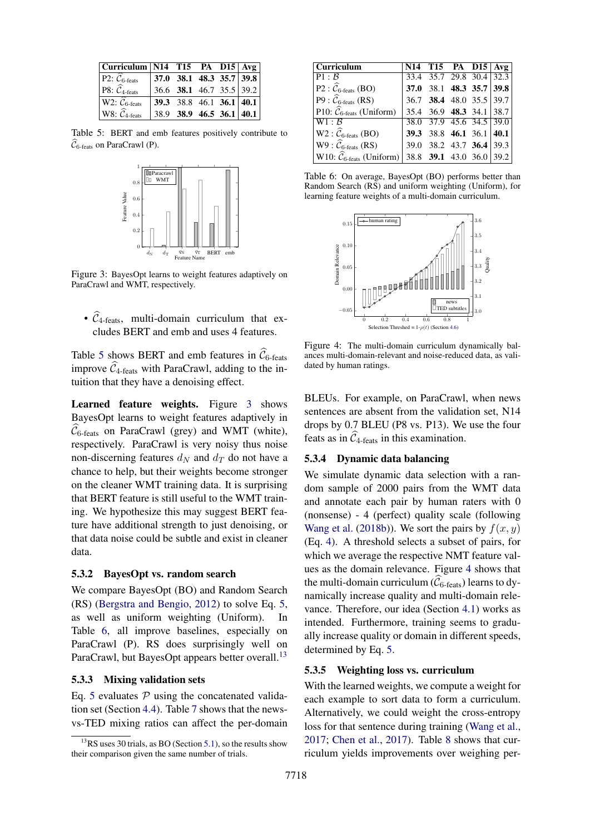<span id="page-7-0"></span>

| Curriculum N14 T15 PA D15 Avg                                       |                            |                          |  |                          |
|---------------------------------------------------------------------|----------------------------|--------------------------|--|--------------------------|
| P2: $\mathcal{C}_{6\text{-feats}}$                                  |                            | 37.0 38.1 48.3 35.7 39.8 |  |                          |
| P8: $\widehat{\mathcal{C}}_{4\text{-feats}}$                        | $36.6$ 38.1 46.7 35.5 39.2 |                          |  |                          |
| $\overline{\mathrm{W}}$ 2: $\widehat{\mathcal{C}}_{6\text{-feats}}$ |                            | 39.3 38.8 46.1 36.1 40.1 |  |                          |
| W8: $\widehat{\mathcal{C}}_4$ -feats                                |                            |                          |  | 38.9 38.9 46.5 36.1 40.1 |

<span id="page-7-1"></span>Table 5: BERT and emb features positively contribute to  $\widehat{\mathcal{C}}_{6\textrm{-feats}}$  on ParaCrawl (P).



Figure 3: BayesOpt learns to weight features adaptively on ParaCrawl and WMT, respectively.

•  $\hat{C}_4$ -feats, multi-domain curriculum that excludes BERT and emb and uses 4 features.

Table [5](#page-7-0) shows BERT and emb features in  $\hat{C}_{6\text{-feats}}$ improve  $\widehat{\mathcal{C}}_4$ -feats with ParaCrawl, adding to the intuition that they have a denoising effect.

Learned feature weights. Figure [3](#page-7-1) shows BayesOpt learns to weight features adaptively in  $\widehat{\mathcal{C}}_{6\text{-feats}}$  on ParaCrawl (grey) and WMT (white), respectively. ParaCrawl is very noisy thus noise non-discerning features  $d_N$  and  $d_T$  do not have a chance to help, but their weights become stronger on the cleaner WMT training data. It is surprising that BERT feature is still useful to the WMT training. We hypothesize this may suggest BERT feature have additional strength to just denoising, or that data noise could be subtle and exist in cleaner data.

## 5.3.2 BayesOpt vs. random search

We compare BayesOpt (BO) and Random Search (RS) [\(Bergstra and Bengio,](#page-9-21) [2012\)](#page-9-21) to solve Eq. [5,](#page-3-4) as well as uniform weighting (Uniform). In Table [6,](#page-7-2) all improve baselines, especially on ParaCrawl (P). RS does surprisingly well on ParaCrawl, but BayesOpt appears better overall.<sup>[13](#page-7-3)</sup>

## 5.3.3 Mixing validation sets

Eq. [5](#page-3-4) evaluates  $P$  using the concatenated validation set (Section [4.4\)](#page-4-4). Table [7](#page-8-0) shows that the newsvs-TED mixing ratios can affect the per-domain

<span id="page-7-2"></span>

| $\overline{\text{Currich}}$                               | $N14$ T15 PA D15 Avg     |  |  |
|-----------------------------------------------------------|--------------------------|--|--|
| P1:B                                                      | 33.4 35.7 29.8 30.4 32.3 |  |  |
| $P2: \widehat{\mathcal{C}}_{6\text{-feats}}(BO)$          | 37.0 38.1 48.3 35.7 39.8 |  |  |
| $P9: \widehat{\mathcal{C}}_{6\text{-feats}}(RS)$          | 36.7 38.4 48.0 35.5 39.7 |  |  |
| P10: $\widehat{\mathcal{C}}_{6\text{-feats}}$ (Uniform)   | 35.4 36.9 48.3 34.1 38.7 |  |  |
| W1: B                                                     | 38.0 37.9 45.6 34.5 39.0 |  |  |
| $W2: \widehat{\mathcal{C}}_{6\text{-feats}}(BO)$          | 39.3 38.8 46.1 36.1 40.1 |  |  |
| $W9: \widehat{\mathcal{C}}_{6\textrm{-feats}}(RS)$        | 39.0 38.2 43.7 36.4 39.3 |  |  |
| W10: $\widehat{\mathcal{C}}_{6\textrm{-feats}}$ (Uniform) | 38.8 39.1 43.0 36.0 39.2 |  |  |

Table 6: On average, BayesOpt (BO) performs better than Random Search (RS) and uniform weighting (Uniform), for learning feature weights of a multi-domain curriculum.

<span id="page-7-4"></span>

Figure 4: The multi-domain curriculum dynamically balances multi-domain-relevant and noise-reduced data, as validated by human ratings.

BLEUs. For example, on ParaCrawl, when news sentences are absent from the validation set, N14 drops by 0.7 BLEU (P8 vs. P13). We use the four feats as in  $\hat{\mathcal{C}}_4$ -feats in this examination.

## 5.3.4 Dynamic data balancing

We simulate dynamic data selection with a random sample of 2000 pairs from the WMT data and annotate each pair by human raters with 0 (nonsense) - 4 (perfect) quality scale (following [Wang et al.](#page-11-2) [\(2018b\)](#page-11-2)). We sort the pairs by  $f(x, y)$ (Eq. [4\)](#page-3-5). A threshold selects a subset of pairs, for which we average the respective NMT feature values as the domain relevance. Figure [4](#page-7-4) shows that the multi-domain curriculum ( $\hat{C}_{6\text{-feats}}$ ) learns to dynamically increase quality and multi-domain relevance. Therefore, our idea (Section [4.1\)](#page-2-4) works as intended. Furthermore, training seems to gradually increase quality or domain in different speeds, determined by Eq. [5.](#page-3-4)

## 5.3.5 Weighting loss vs. curriculum

With the learned weights, we compute a weight for each example to sort data to form a curriculum. Alternatively, we could weight the cross-entropy loss for that sentence during training [\(Wang et al.,](#page-10-6) [2017;](#page-10-6) [Chen et al.,](#page-9-9) [2017\)](#page-9-9). Table [8](#page-8-1) shows that curriculum yields improvements over weighing per-

<span id="page-7-3"></span> $13$ RS uses 30 trials, as BO (Section [5.1\)](#page-5-6), so the results show their comparison given the same number of trials.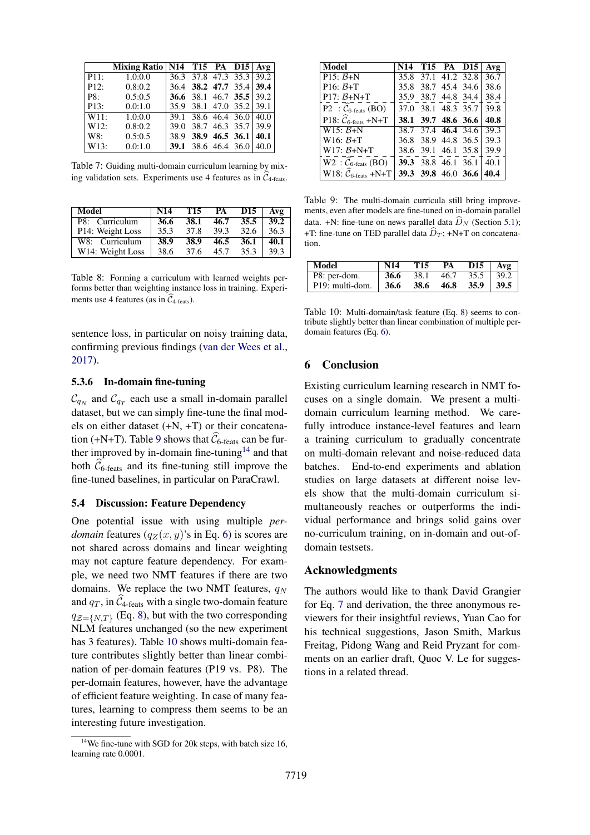<span id="page-8-0"></span>

|                    | Mixing Ratio   $N14$ T15 PA D15   Avg |                          |  |  |
|--------------------|---------------------------------------|--------------------------|--|--|
| P11:               | 1.0:0.0                               | 36.3 37.8 47.3 35.3 39.2 |  |  |
| P12:               | 0.8:0.2                               | 36.4 38.2 47.7 35.4 39.4 |  |  |
| $ $ P8:            | 0.5:0.5                               | 36.6 38.1 46.7 35.5 39.2 |  |  |
| P13:               | 0.0:1.0                               | 35.9 38.1 47.0 35.2 39.1 |  |  |
| $\overline{W}11$ : | 1.0:0.0                               | 39.1 38.6 46.4 36.0 40.0 |  |  |
| W12:               | 0.8:0.2                               | 39.0 38.7 46.3 35.7 39.9 |  |  |
| W8:                | 0.5:0.5                               | 38.9 38.9 46.5 36.1 40.1 |  |  |
| W13:               | 0.0:1.0                               | 39.1 38.6 46.4 36.0 40.0 |  |  |

Table 7: Guiding multi-domain curriculum learning by mixing validation sets. Experiments use 4 features as in  $\widehat{\mathcal{C}}_{4\textrm{-feats}}$ .

<span id="page-8-1"></span>

| Model            | <b>N14</b> | T15  | <b>PA</b> | D <sub>15</sub> | A v g |
|------------------|------------|------|-----------|-----------------|-------|
| P8: Curriculum   | 36.6       | 38.1 | 46.7      | 35.5            | 39.2  |
| P14: Weight Loss | 35.3       | 37.8 | 39.3      | 32.6            | 36.3  |
| W8: Curriculum   | 38.9       | 38.9 | 46.5      | 36.1            | 40.1  |
| W14: Weight Loss | 38.6       | 37.6 | 45.7      | 35.3            | 39.3  |

Table 8: Forming a curriculum with learned weights performs better than weighting instance loss in training. Experiments use 4 features (as in  $\widehat{C}_{4-\text{feats}}$ ).

sentence loss, in particular on noisy training data, confirming previous findings [\(van der Wees et al.,](#page-11-0) [2017\)](#page-11-0).

#### 5.3.6 In-domain fine-tuning

 $\mathcal{C}_{q_N}$  and  $\mathcal{C}_{q_T}$  each use a small in-domain parallel dataset, but we can simply fine-tune the final models on either dataset (+N, +T) or their concatena-tion (+N+T). Table [9](#page-8-2) shows that  $\widehat{\mathcal{C}}_{6\text{-feats}}$  can be fur-ther improved by in-domain fine-tuning<sup>[14](#page-8-3)</sup> and that both  $\widehat{\mathcal{C}}_{6$ -feats and its fine-tuning still improve the fine-tuned baselines, in particular on ParaCrawl.

## 5.4 Discussion: Feature Dependency

One potential issue with using multiple *perdomain* features  $(q_Z(x, y)$ 's in Eq. [6\)](#page-3-6) is scores are not shared across domains and linear weighting may not capture feature dependency. For example, we need two NMT features if there are two domains. We replace the two NMT features,  $q_N$ and  $q_T$ , in  $\widehat{\mathcal{C}}_{4$ -feats with a single two-domain feature  $q_{\mathcal{Z}=\{N,T\}}$  (Eq. [8\)](#page-4-5), but with the two corresponding NLM features unchanged (so the new experiment has 3 features). Table [10](#page-8-4) shows multi-domain feature contributes slightly better than linear combination of per-domain features (P19 vs. P8). The per-domain features, however, have the advantage of efficient feature weighting. In case of many features, learning to compress them seems to be an interesting future investigation.

<span id="page-8-2"></span>

| Model                                                  |      | N <sub>14</sub> T <sub>15</sub> PA D <sub>15</sub> | Avg  |
|--------------------------------------------------------|------|----------------------------------------------------|------|
| P <sub>15</sub> : $B+N$                                | 35.8 | 37.1 41.2 32.8                                     | 36.7 |
| $P16: B+T$                                             |      | 35.8 38.7 45.4 34.6                                | 38.6 |
| $P17: B+N+T$                                           |      | 35.9 38.7 44.8 34.4                                | 38.4 |
| P2 : $C_{6 \text{-feats}}$ (BO)                        |      | 37.0 38.1 48.3 35.7                                | 39.8 |
| P18: $\widehat{\mathcal{C}}_{6\text{-feats}}$ +N+T     |      | 38.1 39.7 48.6 36.6                                | 40.8 |
| $W15: B+N$                                             |      | 38.7 37.4 46.4 34.6                                | 39.3 |
| $W16: B+T$                                             |      | 36.8 38.9 44.8 36.5                                | 39.3 |
| $W17: \mathcal{B}+N+T$                                 |      | 38.6 39.1 46.1 35.8                                | 39.9 |
| $W2$ : $\widehat{\mathcal{C}}_{6\textrm{-feats}}$ (BO) |      | 39.3 38.8 46.1 36.1                                | 40.1 |
| W18: $\widehat{\mathcal{C}}_{6\textrm{-feats}}$ +N+T   |      | 39.3 39.8 46.0 36.6                                | 40.4 |

Table 9: The multi-domain curricula still bring improvements, even after models are fine-tuned on in-domain parallel data. +N: fine-tune on news parallel data  $\widehat{D}_N$  (Section [5.1\)](#page-5-6); +T: fine-tune on TED parallel data  $\widehat{D}_T$ ; +N+T on concatenation.

<span id="page-8-4"></span>

| Model                        | N14  | T15  | PA   | D15           | A v <sub>2</sub> |
|------------------------------|------|------|------|---------------|------------------|
| P8: per-dom.                 | 36.6 | 38.1 | 46.7 | $35.5$   39.2 |                  |
| P <sub>19</sub> : multi-dom. | 36.6 | 38.6 | 46.8 | 35.9          | 39.5             |

Table 10: Multi-domain/task feature (Eq. [8\)](#page-4-5) seems to contribute slightly better than linear combination of multiple perdomain features (Eq. [6\)](#page-3-6).

## 6 Conclusion

Existing curriculum learning research in NMT focuses on a single domain. We present a multidomain curriculum learning method. We carefully introduce instance-level features and learn a training curriculum to gradually concentrate on multi-domain relevant and noise-reduced data batches. End-to-end experiments and ablation studies on large datasets at different noise levels show that the multi-domain curriculum simultaneously reaches or outperforms the individual performance and brings solid gains over no-curriculum training, on in-domain and out-ofdomain testsets.

#### Acknowledgments

The authors would like to thank David Grangier for Eq. [7](#page-3-7) and derivation, the three anonymous reviewers for their insightful reviews, Yuan Cao for his technical suggestions, Jason Smith, Markus Freitag, Pidong Wang and Reid Pryzant for comments on an earlier draft, Quoc V. Le for suggestions in a related thread.

<span id="page-8-3"></span><sup>&</sup>lt;sup>14</sup>We fine-tune with SGD for 20k steps, with batch size 16, learning rate 0.0001.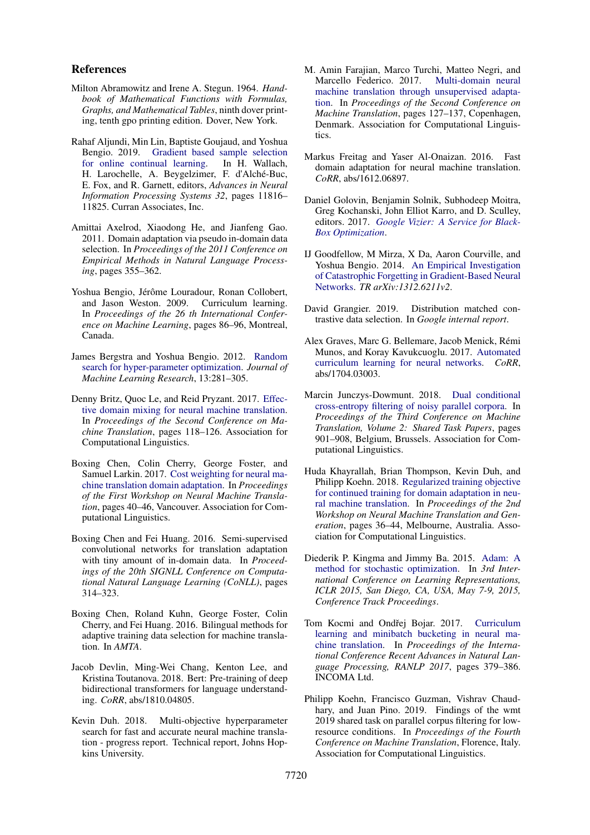## References

- <span id="page-9-17"></span>Milton Abramowitz and Irene A. Stegun. 1964. *Handbook of Mathematical Functions with Formulas, Graphs, and Mathematical Tables*, ninth dover printing, tenth gpo printing edition. Dover, New York.
- <span id="page-9-14"></span>Rahaf Aljundi, Min Lin, Baptiste Goujaud, and Yoshua Bengio. 2019. [Gradient based sample selection](http://papers.nips.cc/paper/9354-gradient-based-sample-selection-for-online-continual-learning.pdf) [for online continual learning.](http://papers.nips.cc/paper/9354-gradient-based-sample-selection-for-online-continual-learning.pdf) In H. Wallach, H. Larochelle, A. Beygelzimer, F. d'Alché-Buc, E. Fox, and R. Garnett, editors, *Advances in Neural Information Processing Systems 32*, pages 11816– 11825. Curran Associates, Inc.
- <span id="page-9-0"></span>Amittai Axelrod, Xiaodong He, and Jianfeng Gao. 2011. Domain adaptation via pseudo in-domain data selection. In *Proceedings of the 2011 Conference on Empirical Methods in Natural Language Processing*, pages 355–362.
- <span id="page-9-7"></span>Yoshua Bengio, Jérôme Louradour, Ronan Collobert, and Jason Weston. 2009. Curriculum learning. In *Proceedings of the 26 th International Conference on Machine Learning*, pages 86–96, Montreal, Canada.
- <span id="page-9-21"></span>James Bergstra and Yoshua Bengio. 2012. [Random](http://dl.acm.org/citation.cfm?id=2188385.2188395) [search for hyper-parameter optimization.](http://dl.acm.org/citation.cfm?id=2188385.2188395) *Journal of Machine Learning Research*, 13:281–305.
- <span id="page-9-2"></span>Denny Britz, Quoc Le, and Reid Pryzant. 2017. [Effec](http://aclweb.org/anthology/W17-4712)[tive domain mixing for neural machine translation.](http://aclweb.org/anthology/W17-4712) In *Proceedings of the Second Conference on Machine Translation*, pages 118–126. Association for Computational Linguistics.
- <span id="page-9-9"></span>Boxing Chen, Colin Cherry, George Foster, and Samuel Larkin. 2017. [Cost weighting for neural ma](https://doi.org/10.18653/v1/W17-3205)[chine translation domain adaptation.](https://doi.org/10.18653/v1/W17-3205) In *Proceedings of the First Workshop on Neural Machine Translation*, pages 40–46, Vancouver. Association for Computational Linguistics.
- <span id="page-9-3"></span>Boxing Chen and Fei Huang. 2016. Semi-supervised convolutional networks for translation adaptation with tiny amount of in-domain data. In *Proceedings of the 20th SIGNLL Conference on Computational Natural Language Learning (CoNLL)*, pages 314–323.
- <span id="page-9-4"></span>Boxing Chen, Roland Kuhn, George Foster, Colin Cherry, and Fei Huang. 2016. Bilingual methods for adaptive training data selection for machine translation. In *AMTA*.
- <span id="page-9-18"></span>Jacob Devlin, Ming-Wei Chang, Kenton Lee, and Kristina Toutanova. 2018. Bert: Pre-training of deep bidirectional transformers for language understanding. *CoRR*, abs/1810.04805.
- <span id="page-9-12"></span>Kevin Duh. 2018. Multi-objective hyperparameter search for fast and accurate neural machine translation - progress report. Technical report, Johns Hopkins University.
- <span id="page-9-10"></span>M. Amin Farajian, Marco Turchi, Matteo Negri, and Marcello Federico. 2017. [Multi-domain neural](https://doi.org/10.18653/v1/W17-4713) [machine translation through unsupervised adapta](https://doi.org/10.18653/v1/W17-4713)[tion.](https://doi.org/10.18653/v1/W17-4713) In *Proceedings of the Second Conference on Machine Translation*, pages 127–137, Copenhagen, Denmark. Association for Computational Linguistics.
- <span id="page-9-8"></span>Markus Freitag and Yaser Al-Onaizan. 2016. Fast domain adaptation for neural machine translation. *CoRR*, abs/1612.06897.
- <span id="page-9-19"></span>Daniel Golovin, Benjamin Solnik, Subhodeep Moitra, Greg Kochanski, John Elliot Karro, and D. Sculley, editors. 2017. *[Google Vizier: A Service for Black-](http://www.kdd.org/kdd2017/papers/view/google-vizier-a-service-for-black-box-optimization)[Box Optimization](http://www.kdd.org/kdd2017/papers/view/google-vizier-a-service-for-black-box-optimization)*.
- <span id="page-9-1"></span>IJ Goodfellow, M Mirza, X Da, Aaron Courville, and Yoshua Bengio. 2014. [An Empirical Investigation](http://arxiv.org/abs/arXiv:1312.6211v2) [of Catastrophic Forgetting in Gradient-Based Neural](http://arxiv.org/abs/arXiv:1312.6211v2) [Networks.](http://arxiv.org/abs/arXiv:1312.6211v2) *TR arXiv:1312.6211v2*.
- <span id="page-9-16"></span>David Grangier. 2019. Distribution matched contrastive data selection. In *Google internal report*.
- <span id="page-9-11"></span>Alex Graves, Marc G. Bellemare, Jacob Menick, Rémi Munos, and Koray Kavukcuoglu. 2017. [Automated](http://arxiv.org/abs/1704.03003) [curriculum learning for neural networks.](http://arxiv.org/abs/1704.03003) *CoRR*, abs/1704.03003.
- <span id="page-9-6"></span>Marcin Junczys-Dowmunt. 2018. [Dual conditional](http://www.aclweb.org/anthology/W18-6479) [cross-entropy filtering of noisy parallel corpora.](http://www.aclweb.org/anthology/W18-6479) In *Proceedings of the Third Conference on Machine Translation, Volume 2: Shared Task Papers*, pages 901–908, Belgium, Brussels. Association for Computational Linguistics.
- <span id="page-9-13"></span>Huda Khayrallah, Brian Thompson, Kevin Duh, and Philipp Koehn. 2018. [Regularized training objective](https://doi.org/10.18653/v1/W18-2705) [for continued training for domain adaptation in neu](https://doi.org/10.18653/v1/W18-2705)[ral machine translation.](https://doi.org/10.18653/v1/W18-2705) In *Proceedings of the 2nd Workshop on Neural Machine Translation and Generation*, pages 36–44, Melbourne, Australia. Association for Computational Linguistics.
- <span id="page-9-20"></span>Diederik P. Kingma and Jimmy Ba. 2015. [Adam: A](http://arxiv.org/abs/1412.6980) [method for stochastic optimization.](http://arxiv.org/abs/1412.6980) In *3rd International Conference on Learning Representations, ICLR 2015, San Diego, CA, USA, May 7-9, 2015, Conference Track Proceedings*.
- <span id="page-9-15"></span>Tom Kocmi and Ondřej Bojar. 2017. [Curriculum](https://doi.org/10.26615/978-954-452-049-6_050) [learning and minibatch bucketing in neural ma](https://doi.org/10.26615/978-954-452-049-6_050)[chine translation.](https://doi.org/10.26615/978-954-452-049-6_050) In *Proceedings of the International Conference Recent Advances in Natural Language Processing, RANLP 2017*, pages 379–386. INCOMA Ltd.
- <span id="page-9-5"></span>Philipp Koehn, Francisco Guzman, Vishrav Chaudhary, and Juan Pino. 2019. Findings of the wmt 2019 shared task on parallel corpus filtering for lowresource conditions. In *Proceedings of the Fourth Conference on Machine Translation*, Florence, Italy. Association for Computational Linguistics.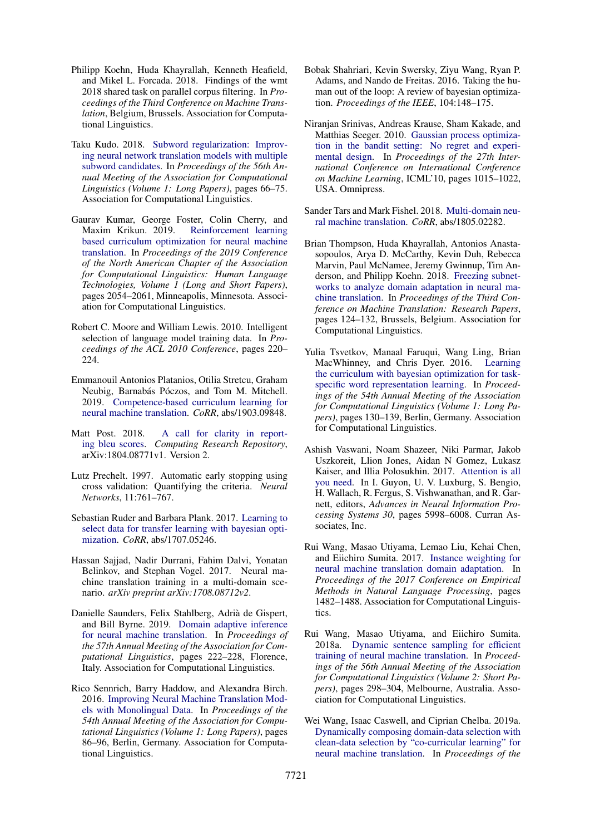- <span id="page-10-1"></span>Philipp Koehn, Huda Khayrallah, Kenneth Heafield, and Mikel L. Forcada. 2018. Findings of the wmt 2018 shared task on parallel corpus filtering. In *Proceedings of the Third Conference on Machine Translation*, Belgium, Brussels. Association for Computational Linguistics.
- <span id="page-10-15"></span>Taku Kudo. 2018. [Subword regularization: Improv](http://aclweb.org/anthology/P18-1007)[ing neural network translation models with multiple](http://aclweb.org/anthology/P18-1007) [subword candidates.](http://aclweb.org/anthology/P18-1007) In *Proceedings of the 56th Annual Meeting of the Association for Computational Linguistics (Volume 1: Long Papers)*, pages 66–75. Association for Computational Linguistics.
- <span id="page-10-3"></span>Gaurav Kumar, George Foster, Colin Cherry, and Maxim Krikun. 2019. [Reinforcement learning](https://doi.org/10.18653/v1/N19-1208) [based curriculum optimization for neural machine](https://doi.org/10.18653/v1/N19-1208) [translation.](https://doi.org/10.18653/v1/N19-1208) In *Proceedings of the 2019 Conference of the North American Chapter of the Association for Computational Linguistics: Human Language Technologies, Volume 1 (Long and Short Papers)*, pages 2054–2061, Minneapolis, Minnesota. Association for Computational Linguistics.
- <span id="page-10-0"></span>Robert C. Moore and William Lewis. 2010. Intelligent selection of language model training data. In *Proceedings of the ACL 2010 Conference*, pages 220– 224.
- <span id="page-10-5"></span>Emmanouil Antonios Platanios, Otilia Stretcu, Graham Neubig, Barnabás Póczos, and Tom M. Mitchell. 2019. [Competence-based curriculum learning for](http://arxiv.org/abs/1903.09848) [neural machine translation.](http://arxiv.org/abs/1903.09848) *CoRR*, abs/1903.09848.
- <span id="page-10-17"></span>Matt Post. 2018. [A call for clarity in report](https://arxiv.org/abs/1804.08771)[ing bleu scores.](https://arxiv.org/abs/1804.08771) *Computing Research Repository*, arXiv:1804.08771v1. Version 2.
- <span id="page-10-16"></span>Lutz Prechelt. 1997. Automatic early stopping using cross validation: Quantifying the criteria. *Neural Networks*, 11:761–767.
- <span id="page-10-9"></span>Sebastian Ruder and Barbara Plank. 2017. [Learning to](http://arxiv.org/abs/1707.05246) [select data for transfer learning with bayesian opti](http://arxiv.org/abs/1707.05246)[mization.](http://arxiv.org/abs/1707.05246) *CoRR*, abs/1707.05246.
- <span id="page-10-2"></span>Hassan Sajjad, Nadir Durrani, Fahim Dalvi, Yonatan Belinkov, and Stephan Vogel. 2017. Neural machine translation training in a multi-domain scenario. *arXiv preprint arXiv:1708.08712v2*.
- <span id="page-10-10"></span>Danielle Saunders, Felix Stahlberg, Adrià de Gispert, and Bill Byrne. 2019. [Domain adaptive inference](https://doi.org/10.18653/v1/P19-1022) [for neural machine translation.](https://doi.org/10.18653/v1/P19-1022) In *Proceedings of the 57th Annual Meeting of the Association for Computational Linguistics*, pages 222–228, Florence, Italy. Association for Computational Linguistics.
- <span id="page-10-19"></span>Rico Sennrich, Barry Haddow, and Alexandra Birch. 2016. [Improving Neural Machine Translation Mod](http://www.aclweb.org/anthology/P16-1009.pdf)[els with Monolingual Data.](http://www.aclweb.org/anthology/P16-1009.pdf) In *Proceedings of the 54th Annual Meeting of the Association for Computational Linguistics (Volume 1: Long Papers)*, pages 86–96, Berlin, Germany. Association for Computational Linguistics.
- <span id="page-10-13"></span>Bobak Shahriari, Kevin Swersky, Ziyu Wang, Ryan P. Adams, and Nando de Freitas. 2016. Taking the human out of the loop: A review of bayesian optimization. *Proceedings of the IEEE*, 104:148–175.
- <span id="page-10-14"></span>Niranjan Srinivas, Andreas Krause, Sham Kakade, and Matthias Seeger. 2010. [Gaussian process optimiza](http://dl.acm.org/citation.cfm?id=3104322.3104451)[tion in the bandit setting: No regret and experi](http://dl.acm.org/citation.cfm?id=3104322.3104451)[mental design.](http://dl.acm.org/citation.cfm?id=3104322.3104451) In *Proceedings of the 27th International Conference on International Conference on Machine Learning*, ICML'10, pages 1015–1022, USA. Omnipress.
- <span id="page-10-7"></span>Sander Tars and Mark Fishel. 2018. [Multi-domain neu](http://arxiv.org/abs/1805.02282)[ral machine translation.](http://arxiv.org/abs/1805.02282) *CoRR*, abs/1805.02282.
- <span id="page-10-11"></span>Brian Thompson, Huda Khayrallah, Antonios Anastasopoulos, Arya D. McCarthy, Kevin Duh, Rebecca Marvin, Paul McNamee, Jeremy Gwinnup, Tim Anderson, and Philipp Koehn. 2018. [Freezing subnet](https://doi.org/10.18653/v1/W18-6313)[works to analyze domain adaptation in neural ma](https://doi.org/10.18653/v1/W18-6313)[chine translation.](https://doi.org/10.18653/v1/W18-6313) In *Proceedings of the Third Conference on Machine Translation: Research Papers*, pages 124–132, Brussels, Belgium. Association for Computational Linguistics.
- <span id="page-10-8"></span>Yulia Tsvetkov, Manaal Faruqui, Wang Ling, Brian MacWhinney, and Chris Dyer. 2016. [Learning](https://doi.org/10.18653/v1/P16-1013) [the curriculum with bayesian optimization for task](https://doi.org/10.18653/v1/P16-1013)[specific word representation learning.](https://doi.org/10.18653/v1/P16-1013) In *Proceedings of the 54th Annual Meeting of the Association for Computational Linguistics (Volume 1: Long Papers)*, pages 130–139, Berlin, Germany. Association for Computational Linguistics.
- <span id="page-10-18"></span>Ashish Vaswani, Noam Shazeer, Niki Parmar, Jakob Uszkoreit, Llion Jones, Aidan N Gomez, Lukasz Kaiser, and Illia Polosukhin. 2017. [Attention is all](http://papers.nips.cc/paper/7181-attention-is-all-you-need.pdf) [you need.](http://papers.nips.cc/paper/7181-attention-is-all-you-need.pdf) In I. Guyon, U. V. Luxburg, S. Bengio, H. Wallach, R. Fergus, S. Vishwanathan, and R. Garnett, editors, *Advances in Neural Information Processing Systems 30*, pages 5998–6008. Curran Associates, Inc.
- <span id="page-10-6"></span>Rui Wang, Masao Utiyama, Lemao Liu, Kehai Chen, and Eiichiro Sumita. 2017. [Instance weighting for](https://www.aclweb.org/anthology/D17-1155.pdf) [neural machine translation domain adaptation.](https://www.aclweb.org/anthology/D17-1155.pdf) In *Proceedings of the 2017 Conference on Empirical Methods in Natural Language Processing*, pages 1482–1488. Association for Computational Linguistics.
- <span id="page-10-4"></span>Rui Wang, Masao Utiyama, and Eiichiro Sumita. 2018a. [Dynamic sentence sampling for efficient](https://www.aclweb.org/anthology/P18-2048) [training of neural machine translation.](https://www.aclweb.org/anthology/P18-2048) In *Proceedings of the 56th Annual Meeting of the Association for Computational Linguistics (Volume 2: Short Papers)*, pages 298–304, Melbourne, Australia. Association for Computational Linguistics.
- <span id="page-10-12"></span>Wei Wang, Isaac Caswell, and Ciprian Chelba. 2019a. [Dynamically composing domain-data selection with](https://www.aclweb.org/anthology/P19-1123) [clean-data selection by "co-curricular learning" for](https://www.aclweb.org/anthology/P19-1123) [neural machine translation.](https://www.aclweb.org/anthology/P19-1123) In *Proceedings of the*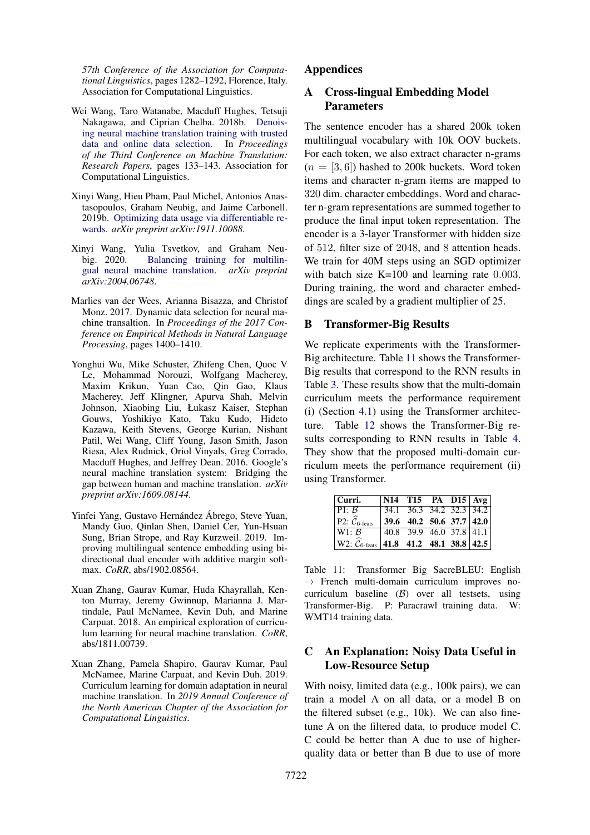*57th Conference of the Association for Computational Linguistics*, pages 1282–1292, Florence, Italy. Association for Computational Linguistics.

- <span id="page-11-2"></span>Wei Wang, Taro Watanabe, Macduff Hughes, Tetsuji Nakagawa, and Ciprian Chelba. 2018b. [Denois](http://aclweb.org/anthology/W18-6314)[ing neural machine translation training with trusted](http://aclweb.org/anthology/W18-6314) [data and online data selection.](http://aclweb.org/anthology/W18-6314) In *Proceedings of the Third Conference on Machine Translation: Research Papers*, pages 133–143. Association for Computational Linguistics.
- <span id="page-11-4"></span>Xinyi Wang, Hieu Pham, Paul Michel, Antonios Anastasopoulos, Graham Neubig, and Jaime Carbonell. 2019b. [Optimizing data usage via differentiable re](https://arxiv.org/abs/1911.10088)[wards.](https://arxiv.org/abs/1911.10088) *arXiv preprint arXiv:1911.10088*.
- <span id="page-11-6"></span>Xinyi Wang, Yulia Tsvetkov, and Graham Neu-[Balancing training for multilin](https://arxiv.org/abs/2004.06748)[gual neural machine translation.](https://arxiv.org/abs/2004.06748) *arXiv preprint arXiv:2004.06748*.
- <span id="page-11-0"></span>Marlies van der Wees, Arianna Bisazza, and Christof Monz. 2017. Dynamic data selection for neural machine transaltion. In *Proceedings of the 2017 Conference on Empirical Methods in Natural Language Processing*, pages 1400–1410.
- <span id="page-11-8"></span>Yonghui Wu, Mike Schuster, Zhifeng Chen, Quoc V Le, Mohammad Norouzi, Wolfgang Macherey, Maxim Krikun, Yuan Cao, Qin Gao, Klaus Macherey, Jeff Klingner, Apurva Shah, Melvin Johnson, Xiaobing Liu, Łukasz Kaiser, Stephan Gouws, Yoshikiyo Kato, Taku Kudo, Hideto Kazawa, Keith Stevens, George Kurian, Nishant Patil, Wei Wang, Cliff Young, Jason Smith, Jason Riesa, Alex Rudnick, Oriol Vinyals, Greg Corrado, Macduff Hughes, and Jeffrey Dean. 2016. Google's neural machine translation system: Bridging the gap between human and machine translation. *arXiv preprint arXiv:1609.08144*.
- <span id="page-11-7"></span>Yinfei Yang, Gustavo Hernández Ábrego, Steve Yuan, Mandy Guo, Qinlan Shen, Daniel Cer, Yun-Hsuan Sung, Brian Strope, and Ray Kurzweil. 2019. Improving multilingual sentence embedding using bidirectional dual encoder with additive margin softmax. *CoRR*, abs/1902.08564.
- <span id="page-11-3"></span>Xuan Zhang, Gaurav Kumar, Huda Khayrallah, Kenton Murray, Jeremy Gwinnup, Marianna J. Martindale, Paul McNamee, Kevin Duh, and Marine Carpuat. 2018. An empirical exploration of curriculum learning for neural machine translation. *CoRR*, abs/1811.00739.
- <span id="page-11-1"></span>Xuan Zhang, Pamela Shapiro, Gaurav Kumar, Paul McNamee, Marine Carpuat, and Kevin Duh. 2019. Curriculum learning for domain adaptation in neural machine translation. In *2019 Annual Conference of the North American Chapter of the Association for Computational Linguistics*.

# Appendices

# A Cross-lingual Embedding Model **Parameters**

The sentence encoder has a shared 200k token multilingual vocabulary with 10k OOV buckets. For each token, we also extract character n-grams  $(n = [3, 6])$  hashed to 200k buckets. Word token items and character n-gram items are mapped to 320 dim. character embeddings. Word and character n-gram representations are summed together to produce the final input token representation. The encoder is a 3-layer Transformer with hidden size of 512, filter size of 2048, and 8 attention heads. We train for 40M steps using an SGD optimizer with batch size K=100 and learning rate 0.003. During training, the word and character embeddings are scaled by a gradient multiplier of 25.

# <span id="page-11-9"></span>B Transformer-Big Results

We replicate experiments with the Transformer-Big architecture. Table [11](#page-11-10) shows the Transformer-Big results that correspond to the RNN results in Table [3.](#page-6-1) These results show that the multi-domain curriculum meets the performance requirement (i) (Section [4.1\)](#page-2-4) using the Transformer architecture. Table [12](#page-12-0) shows the Transformer-Big results corresponding to RNN results in Table [4.](#page-6-2) They show that the proposed multi-domain curriculum meets the performance requirement (ii) using Transformer.

<span id="page-11-10"></span>

| Curri.                                                                     | $\mid$ N14 T15 PA D15 $\mid$ Avg $\mid$                          |  |  |
|----------------------------------------------------------------------------|------------------------------------------------------------------|--|--|
| $\overline{P1:B}$                                                          | $34.1$ 36.3 34.2 32.3 34.2                                       |  |  |
| $ P2:\widehat{\mathcal{C}}_{6\text{-feats}}\rangle$                        | $\begin{vmatrix} 39.6 & 40.2 & 50.6 & 37.7 & 42.0 \end{vmatrix}$ |  |  |
| $\overline{\mathsf{W}}1$ : $\mathcal{B}$                                   | $40.8$ 39.9 46.0 37.8 41.1                                       |  |  |
| $ $ W2: $\widehat{\mathcal{C}}_{6\text{-feats}} $ 41.8 41.2 48.1 38.8 42.5 |                                                                  |  |  |

Table 11: Transformer Big SacreBLEU: English  $\rightarrow$  French multi-domain curriculum improves nocurriculum baseline (B) over all testsets, using Transformer-Big. P: Paracrawl training data. W: WMT14 training data.

# <span id="page-11-5"></span>C An Explanation: Noisy Data Useful in Low-Resource Setup

With noisy, limited data (e.g., 100k pairs), we can train a model A on all data, or a model B on the filtered subset (e.g., 10k). We can also finetune A on the filtered data, to produce model C. C could be better than A due to use of higherquality data or better than B due to use of more